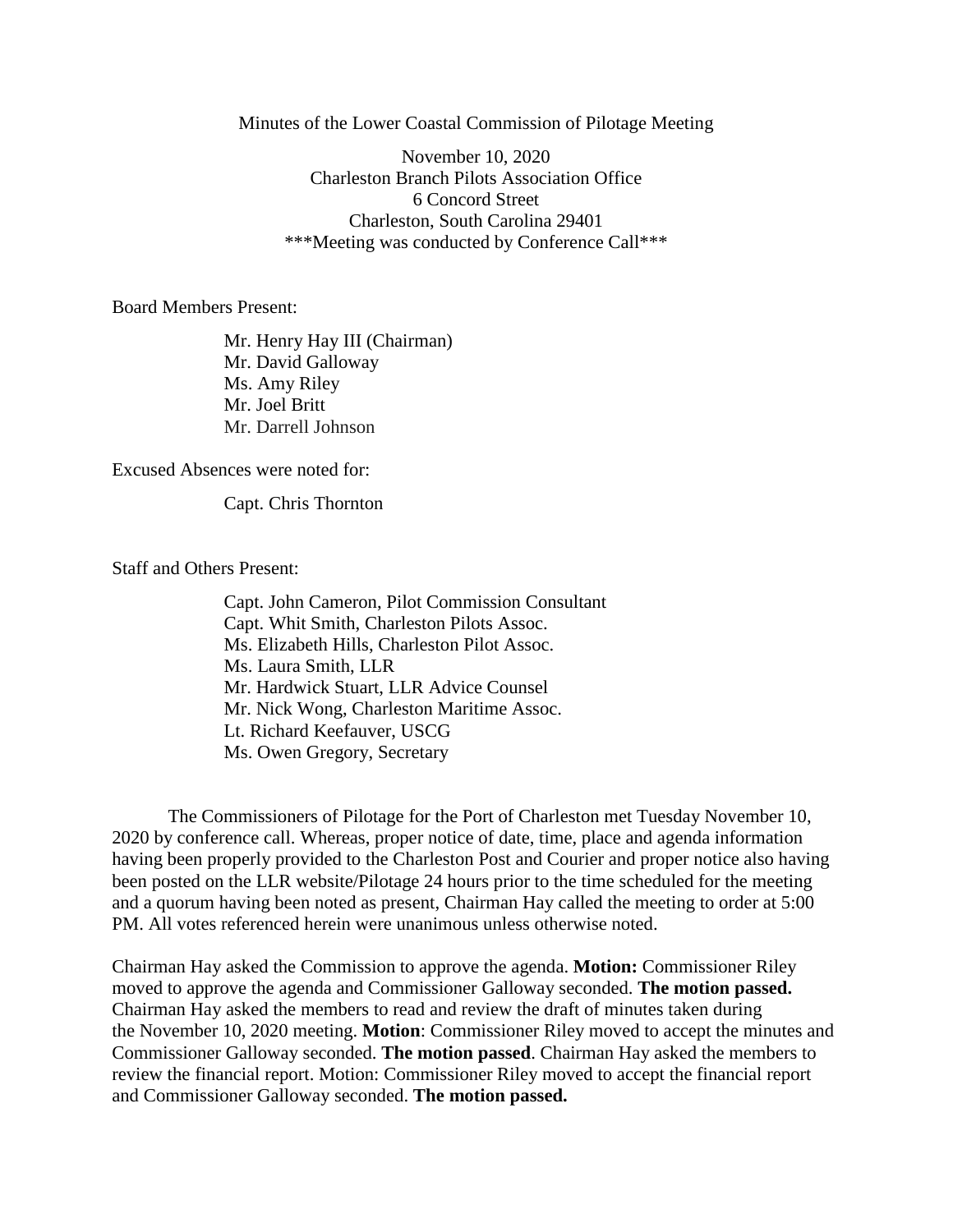Minutes of the Lower Coastal Commission of Pilotage Meeting

November 10, 2020 Charleston Branch Pilots Association Office 6 Concord Street Charleston, South Carolina 29401 \*\*\*Meeting was conducted by Conference Call\*\*\*

Board Members Present:

Mr. Henry Hay III (Chairman) Mr. David Galloway Ms. Amy Riley Mr. Joel Britt Mr. Darrell Johnson

Excused Absences were noted for:

Capt. Chris Thornton

Staff and Others Present:

Capt. John Cameron, Pilot Commission Consultant Capt. Whit Smith, Charleston Pilots Assoc. Ms. Elizabeth Hills, Charleston Pilot Assoc. Ms. Laura Smith, LLR Mr. Hardwick Stuart, LLR Advice Counsel Mr. Nick Wong, Charleston Maritime Assoc. Lt. Richard Keefauver, USCG Ms. Owen Gregory, Secretary

The Commissioners of Pilotage for the Port of Charleston met Tuesday November 10, 2020 by conference call. Whereas, proper notice of date, time, place and agenda information having been properly provided to the Charleston Post and Courier and proper notice also having been posted on the LLR website/Pilotage 24 hours prior to the time scheduled for the meeting and a quorum having been noted as present, Chairman Hay called the meeting to order at 5:00 PM. All votes referenced herein were unanimous unless otherwise noted.

Chairman Hay asked the Commission to approve the agenda. **Motion:** Commissioner Riley moved to approve the agenda and Commissioner Galloway seconded. **The motion passed.** Chairman Hay asked the members to read and review the draft of minutes taken during the November 10, 2020 meeting. **Motion**: Commissioner Riley moved to accept the minutes and Commissioner Galloway seconded. **The motion passed**. Chairman Hay asked the members to review the financial report. Motion: Commissioner Riley moved to accept the financial report and Commissioner Galloway seconded. **The motion passed.**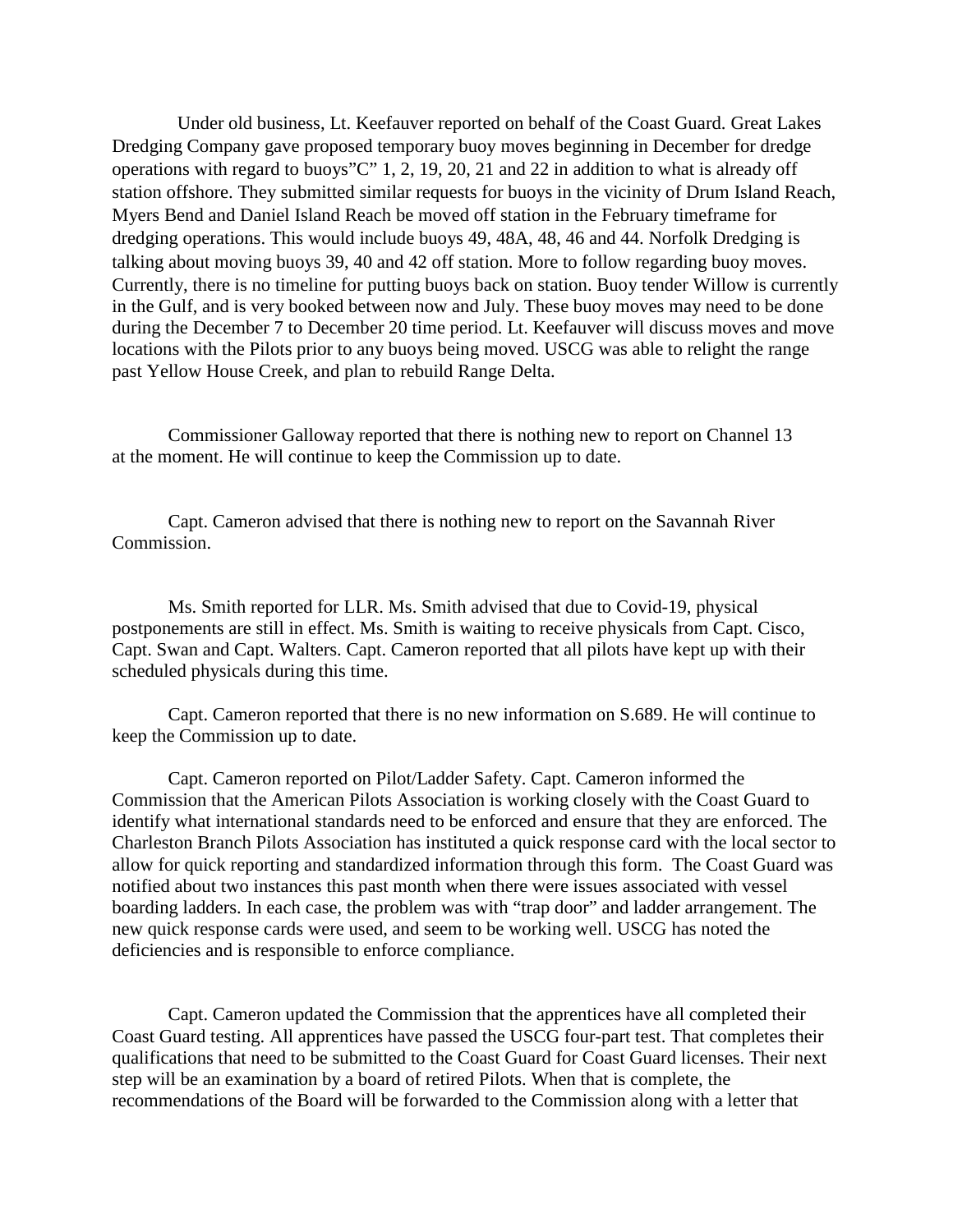Under old business, Lt. Keefauver reported on behalf of the Coast Guard. Great Lakes Dredging Company gave proposed temporary buoy moves beginning in December for dredge operations with regard to buoys"C" 1, 2, 19, 20, 21 and 22 in addition to what is already off station offshore. They submitted similar requests for buoys in the vicinity of Drum Island Reach, Myers Bend and Daniel Island Reach be moved off station in the February timeframe for dredging operations. This would include buoys 49, 48A, 48, 46 and 44. Norfolk Dredging is talking about moving buoys 39, 40 and 42 off station. More to follow regarding buoy moves. Currently, there is no timeline for putting buoys back on station. Buoy tender Willow is currently in the Gulf, and is very booked between now and July. These buoy moves may need to be done during the December 7 to December 20 time period. Lt. Keefauver will discuss moves and move locations with the Pilots prior to any buoys being moved. USCG was able to relight the range past Yellow House Creek, and plan to rebuild Range Delta.

Commissioner Galloway reported that there is nothing new to report on Channel 13 at the moment. He will continue to keep the Commission up to date.

Capt. Cameron advised that there is nothing new to report on the Savannah River Commission.

Ms. Smith reported for LLR. Ms. Smith advised that due to Covid-19, physical postponements are still in effect. Ms. Smith is waiting to receive physicals from Capt. Cisco, Capt. Swan and Capt. Walters. Capt. Cameron reported that all pilots have kept up with their scheduled physicals during this time.

Capt. Cameron reported that there is no new information on S.689. He will continue to keep the Commission up to date.

Capt. Cameron reported on Pilot/Ladder Safety. Capt. Cameron informed the Commission that the American Pilots Association is working closely with the Coast Guard to identify what international standards need to be enforced and ensure that they are enforced. The Charleston Branch Pilots Association has instituted a quick response card with the local sector to allow for quick reporting and standardized information through this form. The Coast Guard was notified about two instances this past month when there were issues associated with vessel boarding ladders. In each case, the problem was with "trap door" and ladder arrangement. The new quick response cards were used, and seem to be working well. USCG has noted the deficiencies and is responsible to enforce compliance.

Capt. Cameron updated the Commission that the apprentices have all completed their Coast Guard testing. All apprentices have passed the USCG four-part test. That completes their qualifications that need to be submitted to the Coast Guard for Coast Guard licenses. Their next step will be an examination by a board of retired Pilots. When that is complete, the recommendations of the Board will be forwarded to the Commission along with a letter that